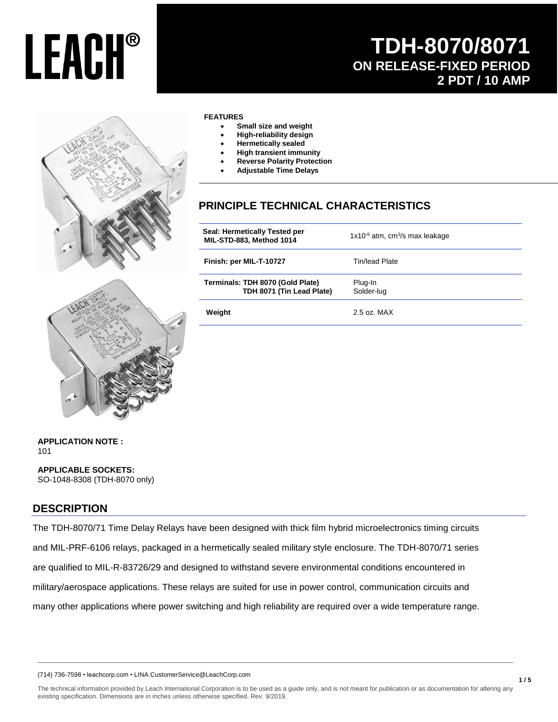## **TDH-8070/8071 ON RELEASE-FIXED PERIOD 2 PDT / 10 AMP**



#### **FEATURES**

- **Small size and weight**
- **High-reliability design**
- **Hermetically sealed**
- **High transient immunity**
- **Reverse Polarity Protection**
- **Adjustable Time Delays**

### **PRINCIPLE TECHNICAL CHARACTERISTICS**

| Seal: Hermetically Tested per<br>MIL-STD-883, Method 1014     | $1x10^{-6}$ atm, cm <sup>3</sup> /s max leakage |  |  |
|---------------------------------------------------------------|-------------------------------------------------|--|--|
| Finish: per MIL-T-10727                                       | Tin/lead Plate                                  |  |  |
| Terminals: TDH 8070 (Gold Plate)<br>TDH 8071 (Tin Lead Plate) | Plug-In<br>Solder-lug                           |  |  |
| Weight                                                        | $2.5$ oz. MAX                                   |  |  |



#### **APPLICATION NOTE :**  101

**APPLICABLE SOCKETS:** SO-1048-8308 (TDH-8070 only)

#### **DESCRIPTION**

The TDH-8070/71 Time Delay Relays have been designed with thick film hybrid microelectronics timing circuits and MIL-PRF-6106 relays, packaged in a hermetically sealed military style enclosure. The TDH-8070/71 series are qualified to MIL-R-83726/29 and designed to withstand severe environmental conditions encountered in military/aerospace applications. These relays are suited for use in power control, communication circuits and many other applications where power switching and high reliability are required over a wide temperature range.

(714) 736-7598 • leachcorp.com • LINA.CustomerService@LeachCorp.com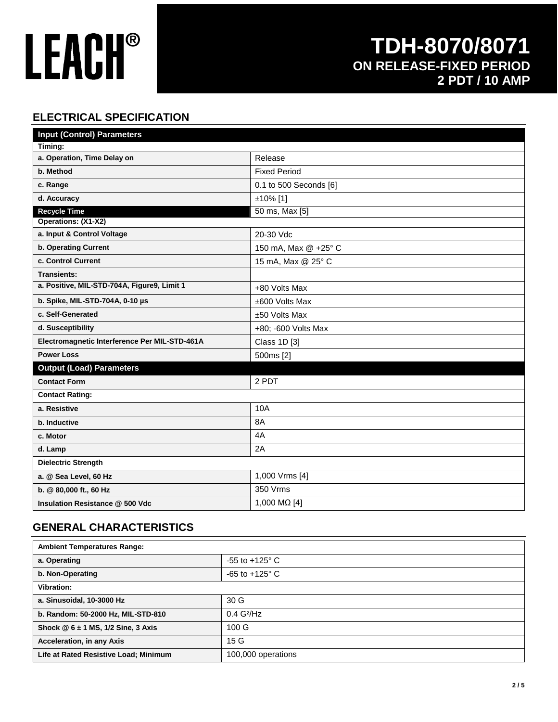### **TDH-8070/8071 ON RELEASE-FIXED PERIOD 2 PDT / 10 AMP**

### **ELECTRICAL SPECIFICATION**

| <b>Input (Control) Parameters</b>             |                        |  |  |  |  |  |
|-----------------------------------------------|------------------------|--|--|--|--|--|
| Timing:                                       |                        |  |  |  |  |  |
| a. Operation, Time Delay on                   | Release                |  |  |  |  |  |
| b. Method                                     | <b>Fixed Period</b>    |  |  |  |  |  |
| c. Range                                      | 0.1 to 500 Seconds [6] |  |  |  |  |  |
| d. Accuracy                                   | ±10% [1]               |  |  |  |  |  |
| <b>Recycle Time</b>                           | 50 ms, Max [5]         |  |  |  |  |  |
| Operations: (X1-X2)                           |                        |  |  |  |  |  |
| a. Input & Control Voltage                    | 20-30 Vdc              |  |  |  |  |  |
| b. Operating Current                          | 150 mA, Max @ +25° C   |  |  |  |  |  |
| c. Control Current                            | 15 mA, Max @ 25° C     |  |  |  |  |  |
| <b>Transients:</b>                            |                        |  |  |  |  |  |
| a. Positive, MIL-STD-704A, Figure9, Limit 1   | +80 Volts Max          |  |  |  |  |  |
| b. Spike, MIL-STD-704A, 0-10 µs               | ±600 Volts Max         |  |  |  |  |  |
| c. Self-Generated                             | ±50 Volts Max          |  |  |  |  |  |
| d. Susceptibility                             | +80; -600 Volts Max    |  |  |  |  |  |
| Electromagnetic Interference Per MIL-STD-461A | Class 1D [3]           |  |  |  |  |  |
| <b>Power Loss</b>                             | 500ms [2]              |  |  |  |  |  |
| <b>Output (Load) Parameters</b>               |                        |  |  |  |  |  |
| <b>Contact Form</b>                           | 2 PDT                  |  |  |  |  |  |
| <b>Contact Rating:</b>                        |                        |  |  |  |  |  |
| a. Resistive                                  | 10A                    |  |  |  |  |  |
| b. Inductive                                  | 8A                     |  |  |  |  |  |
| c. Motor                                      | 4A                     |  |  |  |  |  |
| d. Lamp                                       | 2A                     |  |  |  |  |  |
| <b>Dielectric Strength</b>                    |                        |  |  |  |  |  |
| a. @ Sea Level, 60 Hz                         | 1,000 Vrms [4]         |  |  |  |  |  |
| b. @ 80,000 ft., 60 Hz                        | 350 Vrms               |  |  |  |  |  |
| Insulation Resistance @ 500 Vdc               | 1,000 MΩ [4]           |  |  |  |  |  |

### **GENERAL CHARACTERISTICS**

| <b>Ambient Temperatures Range:</b>    |                           |  |
|---------------------------------------|---------------------------|--|
| a. Operating                          | $-55$ to $+125^{\circ}$ C |  |
| b. Non-Operating                      | $-65$ to $+125^{\circ}$ C |  |
| Vibration:                            |                           |  |
| a. Sinusoidal, 10-3000 Hz             | 30 G                      |  |
| b. Random: 50-2000 Hz, MIL-STD-810    | $0.4$ G <sup>2</sup> /Hz  |  |
| Shock $@6 \pm 1$ MS, 1/2 Sine, 3 Axis | 100 <sub>G</sub>          |  |
| Acceleration, in any Axis             | 15G                       |  |
| Life at Rated Resistive Load; Minimum | 100,000 operations        |  |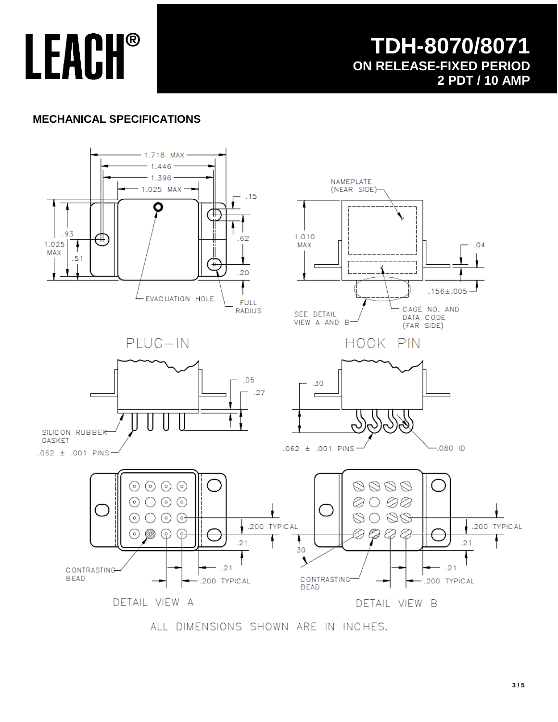### **TDH-8070/8071 ON RELEASE-FIXED PERIOD 2 PDT / 10 AMP**

### **MECHANICAL SPECIFICATIONS**



ALL DIMENSIONS SHOWN ARE IN INCHES.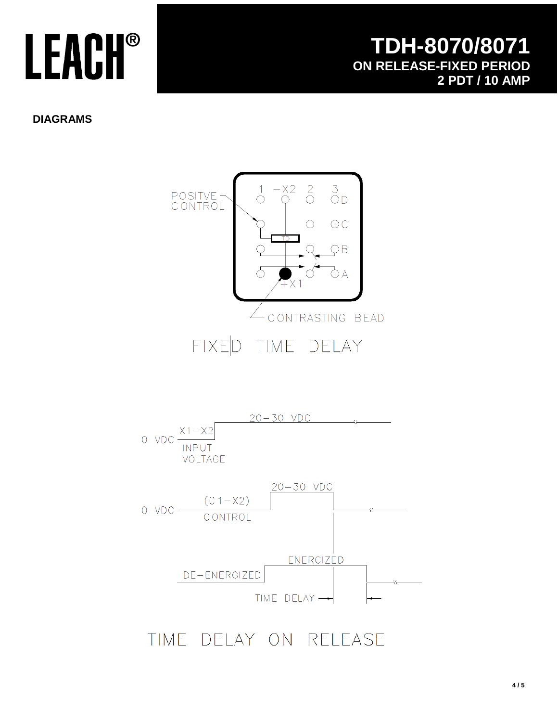**DIAGRAMS**





## TIME DELAY ON RELEASE